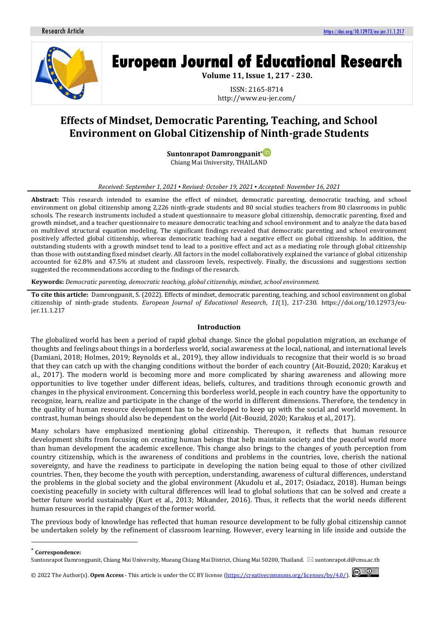

# **European Journal of Educational Research**

**Volume 11, Issue 1, 217 - 230.**

ISSN: 2165-8714 http://www.eu-jer.com/

# **Effects of Mindset, Democratic Parenting, Teaching, and School Environment on Global Citizenship of Ninth-grade Students**

**Suntonrapot Damrongpanit[\\*](https://orcid.org/0000-0001-8143-2873)** Chiang Mai University, THAILAND

# *Received: September 1, 2021 ▪ Revised: October 19, 2021 ▪ Accepted: November 16, 2021*

**Abstract:** This research intended to examine the effect of mindset, democratic parenting, democratic teaching, and school environment on global citizenship among 2,226 ninth-grade students and 80 social studies teachers from 80 classrooms in public schools. The research instruments included a student questionnaire to measure global citizenship, democratic parenting, fixed and growth mindset, and a teacher questionnaire to measure democratic teaching and school environment and to analyze the data based on multilevel structural equation modeling. The significant findings revealed that democratic parenting and school environment positively affected global citizenship, whereas democratic teaching had a negative effect on global citizenship. In addition, the outstanding students with a growth mindset tend to lead to a positive effect and act as a mediating role through global citizenship than those with outstanding fixed mindset clearly. All factors in the model collaboratively explained the variance of global citizenship accounted for 62.8% and 47.5% at student and classroom levels, respectively. Finally, the discussions and suggestions section suggested the recommendations according to the findings of the research.

**Keywords:** *Democratic parenting, democratic teaching, global citizenship, mindset, school environment.*

**To cite this article:** Damrongpanit, S. (2022). Effects of mindset, democratic parenting, teaching, and school environment on global citizenship of ninth-grade students. *European Journal of Educational Research*, *11*(1), 217-230. https://doi.org/10.12973/eujer.11.1.217

## **Introduction**

The globalized world has been a period of rapid global change. Since the global population migration, an exchange of thoughts and feelings about things in a borderless world, social awareness at the local, national, and international levels (Damiani, 2018; Holmes, 2019; Reynolds et al., 2019), they allow individuals to recognize that their world is so broad that they can catch up with the changing conditions without the border of each country (Ait-Bouzid, 2020; Karakuş et al., 2017). The modern world is becoming more and more complicated by sharing awareness and allowing more opportunities to live together under different ideas, beliefs, cultures, and traditions through economic growth and changes in the physical environment. Concerning this borderless world, people in each country have the opportunity to recognize, learn, realize and participate in the change of the world in different dimensions. Therefore, the tendency in the quality of human resource development has to be developed to keep up with the social and world movement. In contrast, human beings should also be dependent on the world (Ait-Bouzid, 2020; Karakuş et al., 2017).

Many scholars have emphasized mentioning global citizenship. Thereupon, it reflects that human resource development shifts from focusing on creating human beings that help maintain society and the peaceful world more than human development the academic excellence. This change also brings to the changes of youth perception from country citizenship, which is the awareness of conditions and problems in the countries, love, cherish the national sovereignty, and have the readiness to participate in developing the nation being equal to those of other civilized countries. Then, they become the youth with perception, understanding, awareness of cultural differences, understand the problems in the global society and the global environment (Akudolu et al., 2017; Osiadacz, 2018). Human beings coexisting peacefully in society with cultural differences will lead to global solutions that can be solved and create a better future world sustainably (Kurt et al., 2013; Mikander, 2016). Thus, it reflects that the world needs different human resources in the rapid changes of the former world.

The previous body of knowledge has reflected that human resource development to be fully global citizenship cannot be undertaken solely by the refinement of classroom learning. However, every learning in life inside and outside the

\* **Correspondence:**

 $\odot$   $\odot$ © 2022 The Author(s).**Open Access** - This article is under the CC BY license [\(https://creativecommons.org/licenses/by/4.0/\)](https://creativecommons.org/licenses/by/4.0/).

Suntonrapot Damrongpanit, Chiang Mai University, Mueang Chiang Mai District, Chiang Mai 50200, Thailand.  $\boxtimes$  suntonrapot.d@cmu.ac.th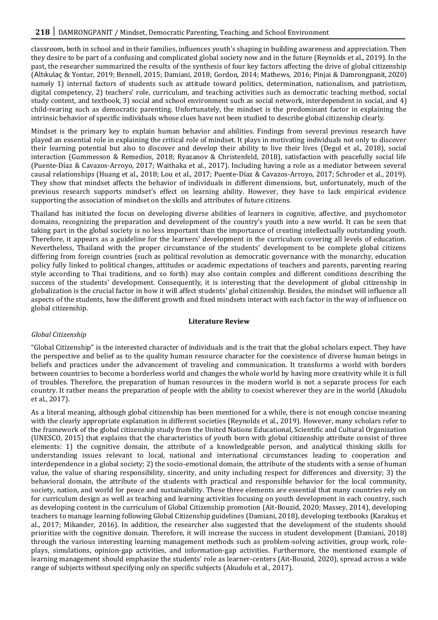classroom, both in school and in their families, influences youth's shaping in building awareness and appreciation. Then they desire to be part of a confusing and complicated global society now and in the future (Reynolds et al., 2019). In the past, the researcher summarized the results of the synthesis of four key factors affecting the drive of global citizenship (Altıkulaç & Yontar, 2019; Bennell, 2015; Damiani, 2018; Gordon, 2014; Mathews, 2016; Pinjai & Damrongpanit, 2020) namely 1) internal factors of students such as attitude toward politics, determination, nationalism, and patriotism, digital competency, 2) teachers' role, curriculum, and teaching activities such as democratic teaching method, social study content, and textbook, 3) social and school environment such as social network, interdependent in social, and 4) child-rearing such as democratic parenting. Unfortunately, the mindset is the predominant factor in explaining the intrinsic behavior of specific individuals whose clues have not been studied to describe global citizenship clearly.

Mindset is the primary key to explain human behavior and abilities. Findings from several previous research have played an essential role in explaining the critical role of mindset. It plays in motivating individuals not only to discover their learning potential but also to discover and develop their ability to live their lives (Degol et al., 2018), social interaction (Gummesson & Remedios, 2018; Ryazanov & Christenfeld, 2018), satisfaction with peacefully social life (Puente-Díaz & Cavazos-Arroyo, 2017; Waithaka et al., 2017). Including having a role as a mediator between several causal relationships (Huang et al., 2018; Lou et al., 2017; Puente-Díaz & Cavazos-Arroyo, 2017; Schroder et al., 2019). They show that mindset affects the behavior of individuals in different dimensions, but, unfortunately, much of the previous research supports mindset's effect on learning ability. However, they have to lack empirical evidence supporting the association of mindset on the skills and attributes of future citizens.

Thailand has initiated the focus on developing diverse abilities of learners in cognitive, affective, and psychomotor domains, recognizing the preparation and development of the country's youth into a new world. It can be seen that taking part in the global society is no less important than the importance of creating intellectually outstanding youth. Therefore, it appears as a guideline for the learners' development in the curriculum covering all levels of education. Nevertheless, Thailand with the proper circumstance of the students' development to be complete global citizens differing from foreign countries (such as political revolution as democratic governance with the monarchy, education policy fully linked to political changes, attitudes or academic expectations of teachers and parents, parenting rearing style according to Thai traditions, and so forth) may also contain complex and different conditions describing the success of the students' development. Consequently, it is interesting that the development of global citizenship in globalization is the crucial factor in how it will affect students' global citizenship. Besides, the mindset will influence all aspects of the students, how the different growth and fixed mindsets interact with each factor in the way of influence on global citizenship.

## **Literature Review**

## *Global Citizenship*

"Global Citizenship" is the interested character of individuals and is the trait that the global scholars expect. They have the perspective and belief as to the quality human resource character for the coexistence of diverse human beings in beliefs and practices under the advancement of traveling and communication. It transforms a world with borders between countries to become a borderless world and changes the whole world by having more creativity while it is full of troubles. Therefore, the preparation of human resources in the modern world is not a separate process for each country. It rather means the preparation of people with the ability to coexist wherever they are in the world (Akudolu et al., 2017).

As a literal meaning, although global citizenship has been mentioned for a while, there is not enough concise meaning with the clearly appropriate explanation in different societies (Reynolds et al., 2019). However, many scholars refer to the framework of the global citizenship study from the United Nations Educational, Scientific and Cultural Organization (UNESCO, 2015) that explains that the characteristics of youth born with global citizenship attribute consist of three elements: 1) the cognitive domain, the attribute of a knowledgeable person, and analytical thinking skills for understanding issues relevant to local, national and international circumstances leading to cooperation and interdependence in a global society; 2) the socio-emotional domain, the attribute of the students with a sense of human value, the value of sharing responsibility, sincerity, and unity including respect for differences and diversity; 3) the behavioral domain, the attribute of the students with practical and responsible behavior for the local community, society, nation, and world for peace and sustainability. These three elements are essential that many countries rely on for curriculum design as well as teaching and learning activities focusing on youth development in each country, such as developing content in the curriculum of Global Citizenship promotion (Ait-Bouzid, 2020; Massey, 2014), developing teachers to manage learning following Global Citizenship guidelines (Damiani, 2018), developing textbooks (Karakuş et al., 2017; Mikander, 2016). In addition, the researcher also suggested that the development of the students should prioritize with the cognitive domain. Therefore, it will increase the success in student development (Damiani, 2018) through the various interesting learning management methods such as problem-solving activities, group work, roleplays, simulations, opinion-gap activities, and information-gap activities. Furthermore, the mentioned example of learning management should emphasize the students' role as learner-centers (Ait-Bouzid, 2020), spread across a wide range of subjects without specifying only on specific subjects (Akudolu et al., 2017).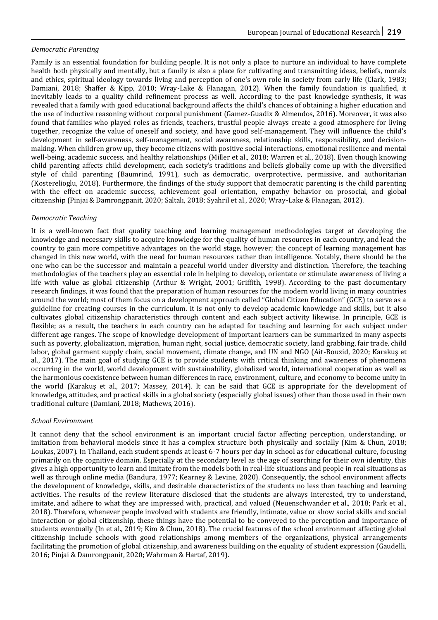## *Democratic Parenting*

Family is an essential foundation for building people. It is not only a place to nurture an individual to have complete health both physically and mentally, but a family is also a place for cultivating and transmitting ideas, beliefs, morals and ethics, spiritual ideology towards living and perception of one's own role in society from early life (Clark, 1983; Damiani, 2018; Shaffer & Kipp, 2010; Wray-Lake & Flanagan, 2012). When the family foundation is qualified, it inevitably leads to a quality child refinement process as well. According to the past knowledge synthesis, it was revealed that a family with good educational background affects the child's chances of obtaining a higher education and the use of inductive reasoning without corporal punishment (Gamez-Guadix & Almendos, 2016). Moreover, it was also found that families who played roles as friends, teachers, trustful people always create a good atmosphere for living together, recognize the value of oneself and society, and have good self-management. They will influence the child's development in self-awareness, self-management, social awareness, relationship skills, responsibility, and decisionmaking. When children grow up, they become citizens with positive social interactions, emotional resilience and mental well-being, academic success, and healthy relationships (Miller et al., 2018; Warren et al., 2018). Even though knowing child parenting affects child development, each society's traditions and beliefs globally come up with the diversified style of child parenting (Baumrind, 1991), such as democratic, overprotective, permissive, and authoritarian (Kosterelioglu, 2018). Furthermore, the findings of the study support that democratic parenting is the child parenting with the effect on academic success, achievement goal orientation, empathy behavior on prosocial, and global citizenship (Pinjai & Damrongpanit, 2020; Saltalı, 2018; Syahril et al., 2020; Wray-Lake & Flanagan, 2012).

## *Democratic Teaching*

It is a well-known fact that quality teaching and learning management methodologies target at developing the knowledge and necessary skills to acquire knowledge for the quality of human resources in each country, and lead the country to gain more competitive advantages on the world stage, however; the concept of learning management has changed in this new world, with the need for human resources rather than intelligence. Notably, there should be the one who can be the successor and maintain a peaceful world under diversity and distinction. Therefore, the teaching methodologies of the teachers play an essential role in helping to develop, orientate or stimulate awareness of living a life with value as global citizenship (Arthur & Wright, 2001; Griffith, 1998). According to the past documentary research findings, it was found that the preparation of human resources for the modern world living in many countries around the world; most of them focus on a development approach called "Global Citizen Education" (GCE) to serve as a guideline for creating courses in the curriculum. It is not only to develop academic knowledge and skills, but it also cultivates global citizenship characteristics through content and each subject activity likewise. In principle, GCE is flexible; as a result, the teachers in each country can be adapted for teaching and learning for each subject under different age ranges. The scope of knowledge development of important learners can be summarized in many aspects such as poverty, globalization, migration, human right, social justice, democratic society, land grabbing, fair trade, child labor, global garment supply chain, social movement, climate change, and UN and NGO (Ait-Bouzid, 2020; Karakuş et al., 2017). The main goal of studying GCE is to provide students with critical thinking and awareness of phenomena occurring in the world, world development with sustainability, globalized world, international cooperation as well as the harmonious coexistence between human differences in race, environment, culture, and economy to become unity in the world (Karakuş et al., 2017; Massey, 2014). It can be said that GCE is appropriate for the development of knowledge, attitudes, and practical skills in a global society (especially global issues) other than those used in their own traditional culture (Damiani, 2018; Mathews, 2016).

## *School Environment*

It cannot deny that the school environment is an important crucial factor affecting perception, understanding, or imitation from behavioral models since it has a complex structure both physically and socially (Kim & Chun, 2018; Loukas, 2007). In Thailand, each student spends at least 6-7 hours per day in school as for educational culture, focusing primarily on the cognitive domain. Especially at the secondary level as the age of searching for their own identity, this gives a high opportunity to learn and imitate from the models both in real-life situations and people in real situations as well as through online media (Bandura, 1977; Kearney & Levine, 2020). Consequently, the school environment affects the development of knowledge, skills, and desirable characteristics of the students no less than teaching and learning activities. The results of the review literature disclosed that the students are always interested, try to understand, imitate, and adhere to what they are impressed with, practical, and valued (Neuenschwander et al., 2018; Park et al., 2018). Therefore, whenever people involved with students are friendly, intimate, value or show social skills and social interaction or global citizenship, these things have the potential to be conveyed to the perception and importance of students eventually (In et al., 2019; Kim & Chun, 2018). The crucial features of the school environment affecting global citizenship include schools with good relationships among members of the organizations, physical arrangements facilitating the promotion of global citizenship, and awareness building on the equality of student expression (Gaudelli, 2016; Pinjai & Damrongpanit, 2020; Wahrman & Hartaf, 2019).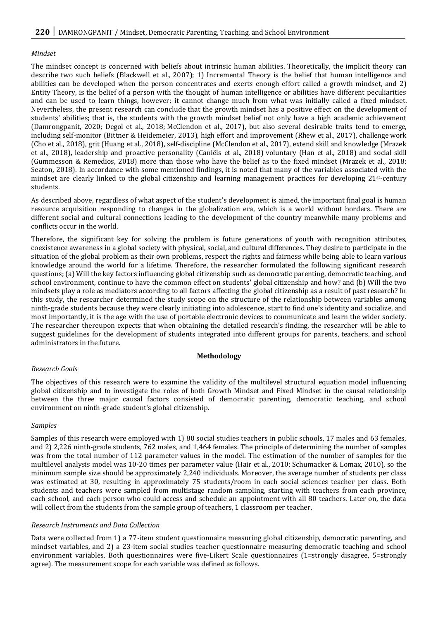#### *Mindset*

The mindset concept is concerned with beliefs about intrinsic human abilities. Theoretically, the implicit theory can describe two such beliefs (Blackwell et al., 2007); 1) Incremental Theory is the belief that human intelligence and abilities can be developed when the person concentrates and exerts enough effort called a growth mindset, and 2) Entity Theory, is the belief of a person with the thought of human intelligence or abilities have different peculiarities and can be used to learn things, however; it cannot change much from what was initially called a fixed mindset. Nevertheless, the present research can conclude that the growth mindset has a positive effect on the development of students' abilities; that is, the students with the growth mindset belief not only have a high academic achievement (Damrongpanit, 2020; Degol et al., 2018; McClendon et al., 2017), but also several desirable traits tend to emerge, including self-monitor (Bittner & Heidemeier, 2013), high effort and improvement (Rhew et al., 2017), challenge work (Cho et al., 2018), grit (Huang et al., 2018), self-discipline (McClendon et al., 2017), extend skill and knowledge (Mrazek et al., 2018), leadership and proactive personality (Caniëls et al., 2018) voluntary (Han et al., 2018) and social skill (Gummesson & Remedios, 2018) more than those who have the belief as to the fixed mindset (Mrazek et al., 2018; Seaton, 2018). In accordance with some mentioned findings, it is noted that many of the variables associated with the mindset are clearly linked to the global citizenship and learning management practices for developing 21st-century students.

As described above, regardless of what aspect of the student's development is aimed, the important final goal is human resource acquisition responding to changes in the globalization era, which is a world without borders. There are different social and cultural connections leading to the development of the country meanwhile many problems and conflicts occur in the world.

Therefore, the significant key for solving the problem is future generations of youth with recognition attributes, coexistence awareness in a global society with physical, social, and cultural differences. They desire to participate in the situation of the global problem as their own problems, respect the rights and fairness while being able to learn various knowledge around the world for a lifetime. Therefore, the researcher formulated the following significant research questions; (a) Will the key factors influencing global citizenship such as democratic parenting, democratic teaching, and school environment, continue to have the common effect on students' global citizenship and how? and (b) Will the two mindsets play a role as mediators according to all factors affecting the global citizenship as a result of past research? In this study, the researcher determined the study scope on the structure of the relationship between variables among ninth-grade students because they were clearly initiating into adolescence, start to find one's identity and socialize, and most importantly, it is the age with the use of portable electronic devices to communicate and learn the wider society. The researcher thereupon expects that when obtaining the detailed research's finding, the researcher will be able to suggest guidelines for the development of students integrated into different groups for parents, teachers, and school administrators in the future.

#### **Methodology**

## *Research Goals*

The objectives of this research were to examine the validity of the multilevel structural equation model influencing global citizenship and to investigate the roles of both Growth Mindset and Fixed Mindset in the causal relationship between the three major causal factors consisted of democratic parenting, democratic teaching, and school environment on ninth-grade student's global citizenship.

## *Samples*

Samples of this research were employed with 1) 80 social studies teachers in public schools, 17 males and 63 females, and 2) 2,226 ninth-grade students, 762 males, and 1,464 females. The principle of determining the number of samples was from the total number of 112 parameter values in the model. The estimation of the number of samples for the multilevel analysis model was 10-20 times per parameter value (Hair et al., 2010; Schumacker & Lomax, 2010), so the minimum sample size should be approximately 2,240 individuals. Moreover, the average number of students per class was estimated at 30, resulting in approximately 75 students/room in each social sciences teacher per class. Both students and teachers were sampled from multistage random sampling, starting with teachers from each province, each school, and each person who could access and schedule an appointment with all 80 teachers. Later on, the data will collect from the students from the sample group of teachers, 1 classroom per teacher.

## *Research Instruments and Data Collection*

Data were collected from 1) a 77-item student questionnaire measuring global citizenship, democratic parenting, and mindset variables, and 2) a 23-item social studies teacher questionnaire measuring democratic teaching and school environment variables. Both questionnaires were five-Likert Scale questionnaires (1=strongly disagree, 5=strongly agree). The measurement scope for each variable was defined as follows.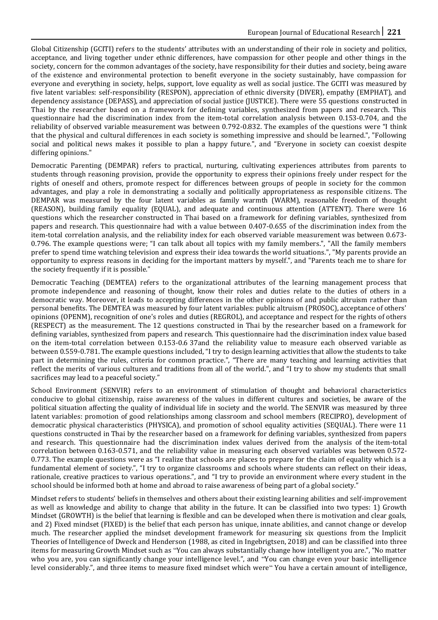Global Citizenship (GCITI) refers to the students' attributes with an understanding of their role in society and politics, acceptance, and living together under ethnic differences, have compassion for other people and other things in the society, concern for the common advantages of the society, have responsibility for their duties and society, being aware of the existence and environmental protection to benefit everyone in the society sustainably, have compassion for everyone and everything in society, helps, support, love equality as well as social justice. The GCITI was measured by five latent variables: self-responsibility (RESPON), appreciation of ethnic diversity (DIVER), empathy (EMPHAT), and dependency assistance (DEPASS), and appreciation of social justice (JUSTICE). There were 55 questions constructed in Thai by the researcher based on a framework for defining variables, synthesized from papers and research. This questionnaire had the discrimination index from the item-total correlation analysis between 0.153-0.704, and the reliability of observed variable measurement was between 0.792-0.832. The examples of the questions were "I think that the physical and cultural differences in each society is something impressive and should be learned.", "Following social and political news makes it possible to plan a happy future.", and "Everyone in society can coexist despite differing opinions."

Democratic Parenting (DEMPAR) refers to practical, nurturing, cultivating experiences attributes from parents to students through reasoning provision, provide the opportunity to express their opinions freely under respect for the rights of oneself and others, promote respect for differences between groups of people in society for the common advantages, and play a role in demonstrating a socially and politically appropriateness as responsible citizens. The DEMPAR was measured by the four latent variables as family warmth (WARM), reasonable freedom of thought (REASON), building family equality (EQUAL), and adequate and continuous attention (ATTENT). There were 16 questions which the researcher constructed in Thai based on a framework for defining variables, synthesized from papers and research. This questionnaire had with a value between 0.407-0.655 of the discrimination index from the item-total correlation analysis, and the reliability index for each observed variable measurement was between 0.673- 0.796. The example questions were; "I can talk about all topics with my family members.", "All the family members prefer to spend time watching television and express their idea towards the world situations.", "My parents provide an opportunity to express reasons in deciding for the important matters by myself.", and "Parents teach me to share for the society frequently if it is possible."

Democratic Teaching (DEMTEA) refers to the organizational attributes of the learning management process that promote independence and reasoning of thought, know their roles and duties relate to the duties of others in a democratic way. Moreover, it leads to accepting differences in the other opinions of and public altruism rather than personal benefits. The DEMTEA was measured by four latent variables: public altruism (PROSOC), acceptance of others' opinions (OPENM), recognition of one's roles and duties (REGROL), and acceptance and respect for the rights of others (RESPECT) as the measurement. The 12 questions constructed in Thai by the researcher based on a framework for defining variables, synthesized from papers and research. This questionnaire had the discrimination index value based on the item-total correlation between 0.153-0.6 37and the reliability value to measure each observed variable as between 0.559-0.781. The example questions included, "I try to design learning activities that allow the students to take part in determining the rules, criteria for common practice.", "There are many teaching and learning activities that reflect the merits of various cultures and traditions from all of the world.", and "I try to show my students that small sacrifices may lead to a peaceful society."

School Environment (SENVIR) refers to an environment of stimulation of thought and behavioral characteristics conducive to global citizenship, raise awareness of the values in different cultures and societies, be aware of the political situation affecting the quality of individual life in society and the world. The SENVIR was measured by three latent variables: promotion of good relationships among classroom and school members (RECIPRO), development of democratic physical characteristics (PHYSICA), and promotion of school equality activities (SEQUAL). There were 11 questions constructed in Thai by the researcher based on a framework for defining variables, synthesized from papers and research. This questionnaire had the discrimination index values derived from the analysis of the item-total correlation between 0.163-0.571, and the reliability value in measuring each observed variables was between 0.572- 0.773. The example questions were as "I realize that schools are places to prepare for the claim of equality which is a fundamental element of society.", "I try to organize classrooms and schools where students can reflect on their ideas, rationale, creative practices to various operations.", and "I try to provide an environment where every student in the school should be informed both at home and abroad to raise awareness of being part of a global society."

Mindset refers to students' beliefs in themselves and others about their existing learning abilities and self-improvement as well as knowledge and ability to change that ability in the future. It can be classified into two types: 1) Growth Mindset (GROWTH) is the belief that learning is flexible and can be developed when there is motivation and clear goals, and 2) Fixed mindset (FIXED) is the belief that each person has unique, innate abilities, and cannot change or develop much. The researcher applied the mindset development framework for measuring six questions from the Implicit Theories of Intelligence of Dweck and Henderson (1988, as cited in Ingebrigtsen, 2018) and can be classified into three items for measuring Growth Mindset such as "You can always substantially change how intelligent you are.", "No matter who you are, you can significantly change your intelligence level.", and "You can change even your basic intelligence level considerably.", and three items to measure fixed mindset which were" You have a certain amount of intelligence,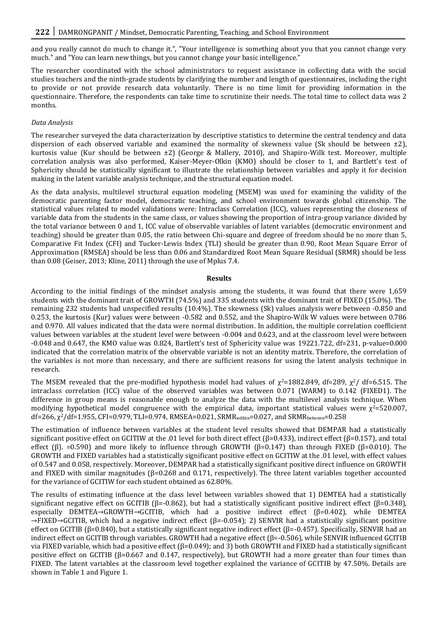and you really cannot do much to change it.", "Your intelligence is something about you that you cannot change very much." and "You can learn new things, but you cannot change your basic intelligence."

The researcher coordinated with the school administrators to request assistance in collecting data with the social studies teachers and the ninth-grade students by clarifying the number and length of questionnaires, including the right to provide or not provide research data voluntarily. There is no time limit for providing information in the questionnaire. Therefore, the respondents can take time to scrutinize their needs. The total time to collect data was 2 months.

# *Data Analysis*

The researcher surveyed the data characterization by descriptive statistics to determine the central tendency and data dispersion of each observed variable and examined the normality of skewness value (Sk should be between  $\pm 2$ ), kurtosis value (Kur should be between ±2) (George & Mallery, 2010), and Shapiro-Wilk test. Moreover, multiple correlation analysis was also performed, Kaiser-Meyer-Olkin (KMO) should be closer to 1, and Bartlett's test of Sphericity should be statistically significant to illustrate the relationship between variables and apply it for decision making in the latent variable analysis technique, and the structural equation model.

As the data analysis, multilevel structural equation modeling (MSEM) was used for examining the validity of the democratic parenting factor model, democratic teaching, and school environment towards global citizenship. The statistical values related to model validations were: Intraclass Correlation (ICC), values representing the closeness of variable data from the students in the same class, or values showing the proportion of intra-group variance divided by the total variance between 0 and 1, ICC value of observable variables of latent variables (democratic environment and teaching) should be greater than 0.05, the ratio between Chi-square and degree of freedom should be no more than 5, Comparative Fit Index (CFI) and Tucker-Lewis Index (TLI) should be greater than 0.90, Root Mean Square Error of Approximation (RMSEA) should be less than 0.06 and Standardized Root Mean Square Residual (SRMR) should be less than 0.08 (Geiser, 2013; Kline, 2011) through the use of Mplus 7.4.

#### **Results**

According to the initial findings of the mindset analysis among the students, it was found that there were 1,659 students with the dominant trait of GROWTH (74.5%) and 335 students with the dominant trait of FIXED (15.0%). The remaining 232 students had unspecified results (10.4%). The skewness (Sk) values analysis were between -0.850 and 0.253, the kurtosis (Kur) values were between -0.582 and 0.552, and the Shapiro-Wilk W values were between 0.786 and 0.970. All values indicated that the data were normal distribution. In addition, the multiple correlation coefficient values between variables at the student level were between -0.004 and 0.623, and at the classroom level were between -0.048 and 0.647, the KMO value was 0.824, Bartlett's test of Sphericity value was 19221.722, df=231, p-value=0.000 indicated that the correlation matrix of the observable variable is not an identity matrix. Therefore, the correlation of the variables is not more than necessary, and there are sufficient reasons for using the latent analysis technique in research.

The MSEM revealed that the pre-modified hypothesis model had values of  $\chi^2$ =1882.849, df=289,  $\chi^2$ / df=6.515. The intraclass correlation (ICC) value of the observed variables was between 0.071 (WARM) to 0.142 (FIXED1). The difference in group means is reasonable enough to analyze the data with the multilevel analysis technique. When modifying hypothetical model congruence with the empirical data, important statistical values were  $\chi^2$ =520.007, df=266, χ2/df=1.955, CFI=0.979, TLI=0.974, RMSEA=0.021, SRMRwithin=0.027, and SRMRbetween=0.258

The estimation of influence between variables at the student level results showed that DEMPAR had a statistically significant positive effect on GCITIW at the .01 level for both direct effect (β=0.433), indirect effect (β=0.157), and total effect (β). =0.590) and more likely to influence through GROWTH (β=0.147) than through FIXED (β=0.010). The GROWTH and FIXED variables had a statistically significant positive effect on GCITIW at the .01 level, with effect values of 0.547 and 0.058, respectively. Moreover, DEMPAR had a statistically significant positive direct influence on GROWTH and FIXED with similar magnitudes  $(\beta=0.268$  and 0.171, respectively). The three latent variables together accounted for the variance of GCITIW for each student obtained as 62.80%.

The results of estimating influence at the class level between variables showed that 1) DEMTEA had a statistically significant negative effect on GCITIB ( $\beta$ =-0.862), but had a statistically significant positive indirect effect ( $\beta$ =0.348), especially DEMTEA→GROWTH→GCITIB, which had a positive indirect effect (β=0.402), while DEMTEA →FIXED→GCITIB, which had a negative indirect effect (β=-0.054); 2) SENVIR had a statistically significant positive effect on GCITIB (β=0.840), but a statistically significant negative indirect effect (β=-0.457). Specifically, SENVIR had an indirect effect on GCITIB through variables. GROWTH had a negative effect  $(\beta = -0.506)$ , while SENVIR influenced GCITIB via FIXED variable, which had a positive effect (β=0.049); and 3) both GROWTH and FIXED had a statistically significant positive effect on GCITIB ( $\beta$ =0.667 and 0.147, respectively), but GROWTH had a more greater than four times than FIXED. The latent variables at the classroom level together explained the variance of GCITIB by 47.50%. Details are shown in Table 1 and Figure 1.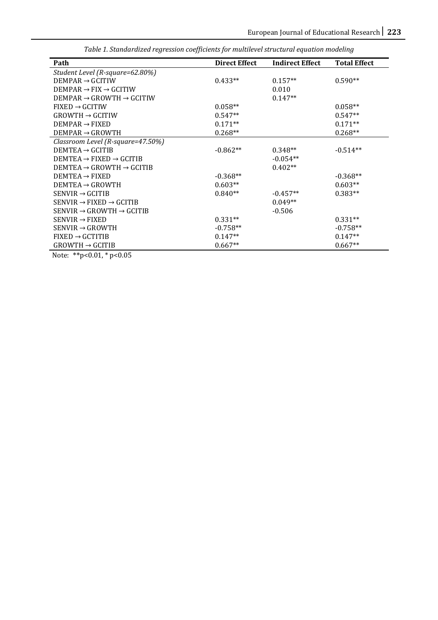| Path                                           | <b>Direct Effect</b> | <b>Indirect Effect</b> | <b>Total Effect</b> |
|------------------------------------------------|----------------------|------------------------|---------------------|
| Student Level (R-square=62.80%)                |                      |                        |                     |
| $DEMPAR \rightarrow GCITIW$                    | $0.433**$            | $0.157**$              | $0.590**$           |
| $DEMPAR \rightarrow FIX \rightarrow GCITIW$    |                      | 0.010                  |                     |
| $DEMPAR \rightarrow GROWTH \rightarrow GCITIW$ |                      | $0.147**$              |                     |
| $FIXED \rightarrow GCITIW$                     | $0.058**$            |                        | $0.058**$           |
| $GROWTH \rightarrow GCITIW$                    | $0.547**$            |                        | $0.547**$           |
| $DEMPAR \rightarrow FIXED$                     | $0.171**$            |                        | $0.171**$           |
| $DEMPAR \rightarrow GROWTH$                    | $0.268**$            |                        | $0.268**$           |
| Classroom Level (R-square=47.50%)              |                      |                        |                     |
| DEMTEA $\rightarrow$ GCITIB                    | $-0.862**$           | $0.348**$              | $-0.514**$          |
| $DEMTEA \rightarrow FIXED \rightarrow GCITIB$  |                      | $-0.054**$             |                     |
| $DEMTEA \rightarrow GROWTH \rightarrow GCITIB$ |                      | $0.402**$              |                     |
| $DEMTEA \rightarrow FIXED$                     | $-0.368**$           |                        | $-0.368**$          |
| $DEMTEA \rightarrow GROWTH$                    | $0.603**$            |                        | $0.603**$           |
| $SENUIR \rightarrow GCITIB$                    | $0.840**$            | $-0.457**$             | $0.383**$           |
| $SENVIR \rightarrow FIXED \rightarrow GCITIB$  |                      | $0.049**$              |                     |
| $SENVIR \rightarrow GROWTH \rightarrow GCITIB$ |                      | $-0.506$               |                     |
| $SENVIR \rightarrow FIXED$                     | $0.331**$            |                        | $0.331**$           |
| $SENVIR \rightarrow GROWTH$                    | $-0.758**$           |                        | $-0.758**$          |
| $FIXED \rightarrow GCTITIB$                    | $0.147**$            |                        | $0.147**$           |
| $GROWTH \rightarrow GCITIB$                    | $0.667**$            |                        | $0.667**$           |

*Table 1. Standardized regression coefficients for multilevel structural equation modeling*

Note: \*\*p<0.01, \* p<0.05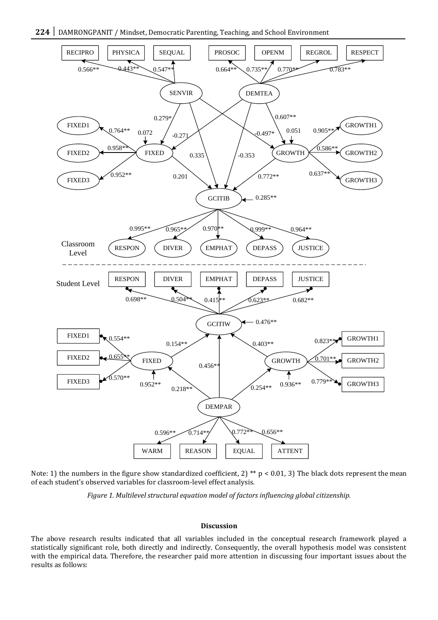

Note: 1) the numbers in the figure show standardized coefficient, 2) \*\* p < 0.01, 3) The black dots represent the mean of each student's observed variables for classroom-level effect analysis.

*Figure 1. Multilevel structural equation model of factors influencing global citizenship.*

#### **Discussion**

The above research results indicated that all variables included in the conceptual research framework played a statistically significant role, both directly and indirectly. Consequently, the overall hypothesis model was consistent with the empirical data. Therefore, the researcher paid more attention in discussing four important issues about the results as follows: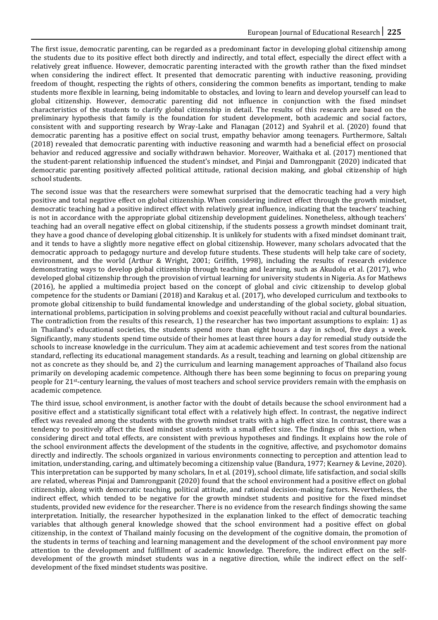The first issue, democratic parenting, can be regarded as a predominant factor in developing global citizenship among the students due to its positive effect both directly and indirectly, and total effect, especially the direct effect with a relatively great influence. However, democratic parenting interacted with the growth rather than the fixed mindset when considering the indirect effect. It presented that democratic parenting with inductive reasoning, providing freedom of thought, respecting the rights of others, considering the common benefits as important, tending to make students more flexible in learning, being indomitable to obstacles, and loving to learn and develop yourself can lead to global citizenship. However, democratic parenting did not influence in conjunction with the fixed mindset characteristics of the students to clarify global citizenship in detail. The results of this research are based on the preliminary hypothesis that family is the foundation for student development, both academic and social factors, consistent with and supporting research by Wray-Lake and Flanagan (2012) and Syahril et al. (2020) found that democratic parenting has a positive effect on social trust, empathy behavior among teenagers. Furthermore, Saltalı (2018) revealed that democratic parenting with inductive reasoning and warmth had a beneficial effect on prosocial behavior and reduced aggressive and socially withdrawn behavior. Moreover, Waithaka et al. (2017) mentioned that the student-parent relationship influenced the student's mindset, and Pinjai and Damrongpanit (2020) indicated that democratic parenting positively affected political attitude, rational decision making, and global citizenship of high school students.

The second issue was that the researchers were somewhat surprised that the democratic teaching had a very high positive and total negative effect on global citizenship. When considering indirect effect through the growth mindset, democratic teaching had a positive indirect effect with relatively great influence, indicating that the teachers' teaching is not in accordance with the appropriate global citizenship development guidelines. Nonetheless, although teachers' teaching had an overall negative effect on global citizenship, if the students possess a growth mindset dominant trait, they have a good chance of developing global citizenship. It is unlikely for students with a fixed mindset dominant trait, and it tends to have a slightly more negative effect on global citizenship. However, many scholars advocated that the democratic approach to pedagogy nurture and develop future students. These students will help take care of society, environment, and the world (Arthur & Wright, 2001; Griffith, 1998), including the results of research evidence demonstrating ways to develop global citizenship through teaching and learning, such as Akudolu et al. (2017), who developed global citizenship through the provision of virtual learning for university students in Nigeria. As for Mathews (2016), he applied a multimedia project based on the concept of global and civic citizenship to develop global competence for the students or Damiani (2018) and Karakuş et al. (2017), who developed curriculum and textbooks to promote global citizenship to build fundamental knowledge and understanding of the global society, global situation, international problems, participation in solving problems and coexist peacefully without racial and cultural boundaries. The contradiction from the results of this research, 1) the researcher has two important assumptions to explain: 1) as in Thailand's educational societies, the students spend more than eight hours a day in school, five days a week. Significantly, many students spend time outside of their homes at least three hours a day for remedial study outside the schools to increase knowledge in the curriculum. They aim at academic achievement and test scores from the national standard, reflecting its educational management standards. As a result, teaching and learning on global citizenship are not as concrete as they should be, and 2) the curriculum and learning management approaches of Thailand also focus primarily on developing academic competence. Although there has been some beginning to focus on preparing young people for 21st-century learning, the values of most teachers and school service providers remain with the emphasis on academic competence.

The third issue, school environment, is another factor with the doubt of details because the school environment had a positive effect and a statistically significant total effect with a relatively high effect. In contrast, the negative indirect effect was revealed among the students with the growth mindset traits with a high effect size. In contrast, there was a tendency to positively affect the fixed mindset students with a small effect size. The findings of this section, when considering direct and total effects, are consistent with previous hypotheses and findings. It explains how the role of the school environment affects the development of the students in the cognitive, affective, and psychomotor domains directly and indirectly. The schools organized in various environments connecting to perception and attention lead to imitation, understanding, caring, and ultimately becoming a citizenship value (Bandura, 1977; Kearney & Levine, 2020). This interpretation can be supported by many scholars, In et al. (2019), school climate, life satisfaction, and social skills are related, whereas Pinjai and Damrongpanit (2020) found that the school environment had a positive effect on global citizenship, along with democratic teaching, political attitude, and rational decision-making factors. Nevertheless, the indirect effect, which tended to be negative for the growth mindset students and positive for the fixed mindset students, provided new evidence for the researcher. There is no evidence from the research findings showing the same interpretation. Initially, the researcher hypothesized in the explanation linked to the effect of democratic teaching variables that although general knowledge showed that the school environment had a positive effect on global citizenship, in the context of Thailand mainly focusing on the development of the cognitive domain, the promotion of the students in terms of teaching and learning management and the development of the school environment pay more attention to the development and fulfillment of academic knowledge. Therefore, the indirect effect on the selfdevelopment of the growth mindset students was in a negative direction, while the indirect effect on the selfdevelopment of the fixed mindset students was positive.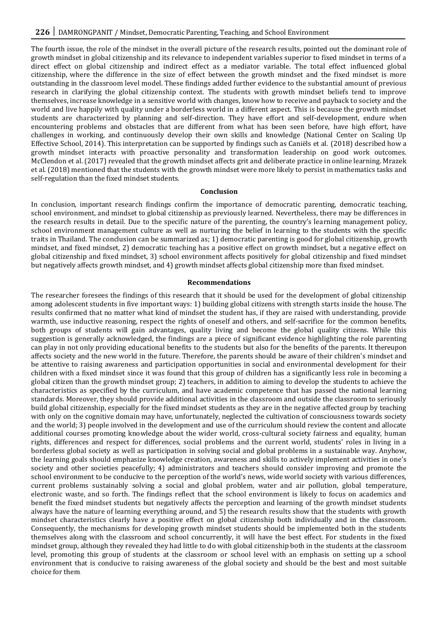The fourth issue, the role of the mindset in the overall picture of the research results, pointed out the dominant role of growth mindset in global citizenship and its relevance to independent variables superior to fixed mindset in terms of a direct effect on global citizenship and indirect effect as a mediator variable. The total effect influenced global citizenship, where the difference in the size of effect between the growth mindset and the fixed mindset is more outstanding in the classroom level model. These findings added further evidence to the substantial amount of previous research in clarifying the global citizenship context. The students with growth mindset beliefs tend to improve themselves, increase knowledge in a sensitive world with changes, know how to receive and payback to society and the world and live happily with quality under a borderless world in a different aspect. This is because the growth mindset students are characterized by planning and self-direction. They have effort and self-development, endure when encountering problems and obstacles that are different from what has been seen before, have high effort, have challenges in working, and continuously develop their own skills and knowledge (National Center on Scaling Up Effective School, 2014). This interpretation can be supported by findings such as Caniëls et al. (2018) described how a growth mindset interacts with proactive personality and transformation leadership on good work outcomes. McClendon et al. (2017) revealed that the growth mindset affects grit and deliberate practice in online learning. Mrazek et al. (2018) mentioned that the students with the growth mindset were more likely to persist in mathematics tasks and self-regulation than the fixed mindset students.

#### **Conclusion**

In conclusion, important research findings confirm the importance of democratic parenting, democratic teaching, school environment, and mindset to global citizenship as previously learned. Nevertheless, there may be differences in the research results in detail. Due to the specific nature of the parenting, the country's learning management policy, school environment management culture as well as nurturing the belief in learning to the students with the specific traits in Thailand. The conclusion can be summarized as; 1) democratic parenting is good for global citizenship, growth mindset, and fixed mindset, 2) democratic teaching has a positive effect on growth mindset, but a negative effect on global citizenship and fixed mindset, 3) school environment affects positively for global citizenship and fixed mindset but negatively affects growth mindset, and 4) growth mindset affects global citizenship more than fixed mindset.

#### **Recommendations**

The researcher foresees the findings of this research that it should be used for the development of global citizenship among adolescent students in five important ways: 1) building global citizens with strength starts inside the house. The results confirmed that no matter what kind of mindset the student has, if they are raised with understanding, provide warmth, use inductive reasoning, respect the rights of oneself and others, and self-sacrifice for the common benefits, both groups of students will gain advantages, quality living and become the global quality citizens. While this suggestion is generally acknowledged, the findings are a piece of significant evidence highlighting the role parenting can play in not only providing educational benefits to the students but also for the benefits of the parents. It thereupon affects society and the new world in the future. Therefore, the parents should be aware of their children's mindset and be attentive to raising awareness and participation opportunities in social and environmental development for their children with a fixed mindset since it was found that this group of children has a significantly less role in becoming a global citizen than the growth mindset group; 2) teachers, in addition to aiming to develop the students to achieve the characteristics as specified by the curriculum, and have academic competence that has passed the national learning standards. Moreover, they should provide additional activities in the classroom and outside the classroom to seriously build global citizenship, especially for the fixed mindset students as they are in the negative affected group by teaching with only on the cognitive domain may have, unfortunately, neglected the cultivation of consciousness towards society and the world; 3) people involved in the development and use of the curriculum should review the content and allocate additional courses promoting knowledge about the wider world, cross-cultural society fairness and equality, human rights, differences and respect for differences, social problems and the current world, students' roles in living in a borderless global society as well as participation in solving social and global problems in a sustainable way. Anyhow, the learning goals should emphasize knowledge creation, awareness and skills to actively implement activities in one's society and other societies peacefully; 4) administrators and teachers should consider improving and promote the school environment to be conducive to the perception of the world's news, wide world society with various differences, current problems sustainably solving a social and global problem, water and air pollution, global temperature, electronic waste, and so forth. The findings reflect that the school environment is likely to focus on academics and benefit the fixed mindset students but negatively affects the perception and learning of the growth mindset students always have the nature of learning everything around, and 5) the research results show that the students with growth mindset characteristics clearly have a positive effect on global citizenship both individually and in the classroom. Consequently, the mechanisms for developing growth mindset students should be implemented both in the students themselves along with the classroom and school concurrently, it will have the best effect. For students in the fixed mindset group, although they revealed they had little to do with global citizenship both in the students at the classroom level, promoting this group of students at the classroom or school level with an emphasis on setting up a school environment that is conducive to raising awareness of the global society and should be the best and most suitable choice for them.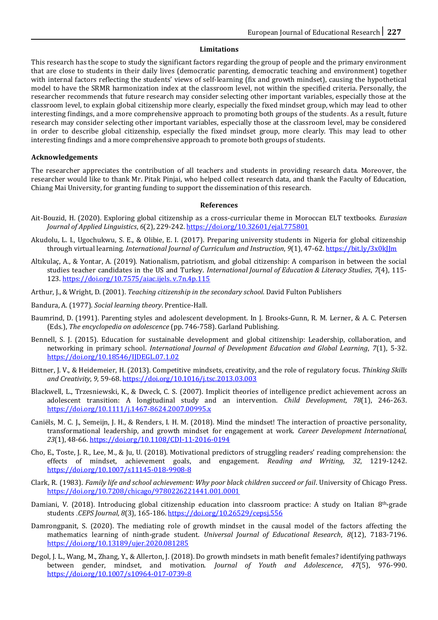# **Limitations**

This research has the scope to study the significant factors regarding the group of people and the primary environment that are close to students in their daily lives (democratic parenting, democratic teaching and environment) together with internal factors reflecting the students' views of self-learning (fix and growth mindset), causing the hypothetical model to have the SRMR harmonization index at the classroom level, not within the specified criteria. Personally, the researcher recommends that future research may consider selecting other important variables, especially those at the classroom level, to explain global citizenship more clearly, especially the fixed mindset group, which may lead to other interesting findings, and a more comprehensive approach to promoting both groups of the students. As a result, future research may consider selecting other important variables, especially those at the classroom level, may be considered in order to describe global citizenship, especially the fixed mindset group, more clearly. This may lead to other interesting findings and a more comprehensive approach to promote both groups of students.

# **Acknowledgements**

The researcher appreciates the contribution of all teachers and students in providing research data. Moreover, the researcher would like to thank Mr. Pitak Pinjai, who helped collect research data, and thank the Faculty of Education, Chiang Mai University, for granting funding to support the dissemination of this research.

## **References**

- Ait-Bouzid, H. (2020). Exploring global citizenship as a cross-curricular theme in Moroccan ELT textbooks. *Eurasian Journal of Applied Linguistics*, *6*(2), 229-242[. https://doi.org/10.32601/ejal.775801](https://doi.org/10.32601/ejal.775801)
- Akudolu, L. I., Ugochukwu, S. E., & Olibie, E. I. (2017). Preparing university students in Nigeria for global citizenship through virtual learning. *International Journal of Curriculum and Instruction*, *9*(1), 47-62[. https://bit.ly/3x0kJJm](https://bit.ly/3x0kJJm)
- Altıkulaç, A., & Yontar, A. (2019). Nationalism, patriotism, and global citizenship: A comparison in between the social studies teacher candidates in the US and Turkey. *International Journal of Education & Literacy Studies*, *7*(4), 115- 123[. https://doi.org/10.7575/aiac.ijels. v.7n.4p.115](https://doi.org/10.7575/aiac.ijels.%20v.7n.4p.115)
- Arthur, J., & Wright, D. (2001). *Teaching citizenship in the secondary school*. David Fulton Publishers
- Bandura, A. (1977). *Social learning theory*. Prentice-Hall.
- Baumrind, D. (1991). Parenting styles and adolescent development. In J. Brooks-Gunn, R. M. Lerner, & A. C. Petersen (Eds.), *The encyclopedia on adolescence* (pp. 746-758). Garland Publishing.
- Bennell, S. J. (2015). Education for sustainable development and global citizenship: Leadership, collaboration, and networking in primary school. *International Journal of Development Education and Global Learning*, *7*(1), 5-32. <https://doi.org/10.18546/IJDEGL.07.1.02>
- Bittner, J. V., & Heidemeier, H. (2013). Competitive mindsets, creativity, and the role of regulatory focus. *Thinking Skills and Creativity*, *9*, 59-68[. https://doi.org/10.1016/j.tsc.2013.03.003](https://doi.org/10.1016/j.tsc.2013.03.003)
- Blackwell, L., Trzesniewski, K., & Dweck, C. S. (2007). Implicit theories of intelligence predict achievement across an adolescent transition: A longitudinal study and an intervention. *Child Development*, *78*(1), 246-263. <https://doi.org/10.1111/j.1467-8624.2007.00995.x>
- Caniëls, M. C. J., Semeijn, J. H., & Renders, I. H. M. (2018). Mind the mindset! The interaction of proactive personality, transformational leadership, and growth mindset for engagement at work. *Career Development International*, *23*(1), 48-66[. https://doi.org/10.1108/CDI-11-2016-0194](https://doi.org/10.1108/CDI-11-2016-0194)
- Cho, E., Toste, J. R., Lee, M., & Ju, U. (2018). Motivational predictors of struggling readers' reading comprehension: the effects of mindset, achievement goals, and engagement. *Reading and Writing*, *32*, 1219-1242. <https://doi.org/10.1007/s11145-018-9908-8>
- Clark, R. (1983). *Family life and school achievement: Why poor black children succeed or fail*. University of Chicago Press. <https://doi.org/10.7208/chicago/9780226221441.001.0001>
- Damiani, V. (2018). Introducing global citizenship education into classroom practice: A study on Italian 8th-grade students .*CEPS Journal*, *8*(3), 165-186[. https://doi.org/](https://doi.org/10.26529/cepsj.556)10.26529/cepsj.[556](https://doi.org/10.26529/cepsj.556)
- Damrongpanit, S. (2020). The mediating role of growth mindset in the causal model of the factors affecting the mathematics learning of ninth-grade student. *Universal Journal of Educational Research*, *8*(12), 7183-7196. <https://doi.org/10.13189/ujer.2020.081285>
- Degol, J. L., Wang, M., Zhang, Y., & Allerton, J. (2018). Do growth mindsets in math benefit females? identifying pathways between gender, mindset, and motivation. *Journal of Youth and Adolescence*, *47*(5), 976-990. <https://doi.org/10.1007/s10964-017-0739-8>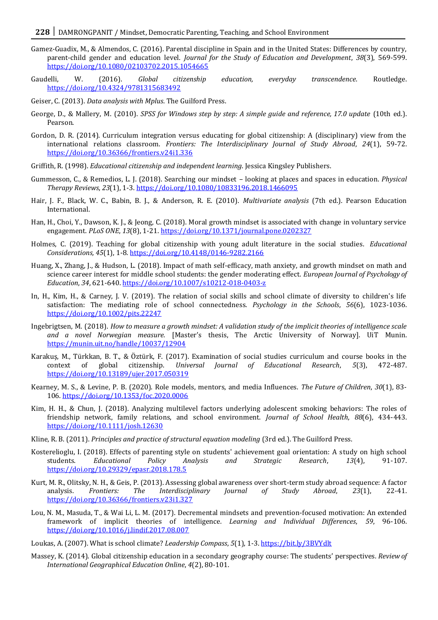- Gamez-Guadix, M., & Almendos, C. (2016). Parental discipline in Spain and in the United States: Differences by country, parent-child gender and education level. *Journal for the Study of Education and Development*, *38*(3), 569-599. <https://doi.org/10.1080/02103702.2015.1054665>
- Gaudelli, W. (2016). *Global citizenship education, everyday transcendence*. Routledge. <https://doi.org/10.4324/9781315683492>
- Geiser, C. (2013). *Data analysis with Mplus*. The Guilford Press.
- George, D., & Mallery, M. (2010). *SPSS for Windows step by step: A simple guide and reference, 17.0 update* (10th ed.). Pearson.
- Gordon, D. R. (2014). Curriculum integration versus educating for global citizenship: A (disciplinary) view from the international relations classroom. *Frontiers: The Interdisciplinary Journal of Study Abroad*, *24*(1), 59-72. <https://doi.org/10.36366/frontiers.v24i1.336>
- Griffith, R. (1998). *Educational citizenship and independent learning*. Jessica Kingsley Publishers.
- Gummesson, C., & Remedios, L. J. (2018). Searching our mindset looking at places and spaces in education. *Physical Therapy Reviews*, *23*(1), 1-3[. https://doi.org/10.1080/10833196.2018.1466095](https://doi.org/10.1080/10833196.2018.1466095)
- Hair, J. F., Black, W. C., Babin, B. J., & Anderson, R. E. (2010). *Multivariate analysis* (7th ed.). Pearson Education International.
- Han, H., Choi, Y., Dawson, K. J., & Jeong, C. (2018). Moral growth mindset is associated with change in voluntary service engagement. *PLoS ONE*, *13*(8), 1-21[. https://doi.org/10.1371/journal.pone.0202327](https://doi.org/10.1371/journal.pone.0202327)
- Holmes, C. (2019). Teaching for global citizenship with young adult literature in the social studies. *Educational Considerations, 45*(1), 1-8*.* [https://doi.org/](https://doi.org/10.4148/0146-9282.2166)10.4148/0146-9282.[2166](https://doi.org/10.4148/0146-9282.2166)
- Huang, X., Zhang, J., & Hudson, L. (2018). Impact of math self-efficacy, math anxiety, and growth mindset on math and science career interest for middle school students: the gender moderating effect. *European Journal of Psychology of Education*, *34*, 621-640[. https://doi.org/10.1007/s10212-018-0403-z](https://doi.org/10.1007/s10212-018-0403-z)
- In, H., Kim, H., & Carney, J. V. (2019). The relation of social skills and school climate of diversity to children's life satisfaction: The mediating role of school connectedness. *Psychology in the Schools*, *56*(6), 1023-1036. <https://doi.org/10.1002/pits.22247>
- Ingebrigtsen, M. (2018). *How to measure a growth mindset: A validation study of the implicit theories of intelligence scale and a novel Norwegian measure.* [Master's thesis, The Arctic University of Norway]. UiT Munin. <https://munin.uit.no/handle/10037/12904>
- Karakuş, M., Türkkan, B. T., & Öztürk, F. (2017). Examination of social studies curriculum and course books in the context of global citizenship. *Universal Journal of Educational Research*, *5*(3), 472-487. <https://doi.org/10.13189/ujer.2017.050319>
- Kearney, M. S., & Levine, P. B. (2020). Role models, mentors, and media Influences. *The Future of Children*, *30*(1), 83- 106[. https://doi.org/10.1353/foc.2020.0006](https://doi.org/10.1353/foc.2020.0006)
- Kim, H. H., & Chun, J. (2018). Analyzing multilevel factors underlying adolescent smoking behaviors: The roles of friendship network, family relations, and school environment. *Journal of School Health*, *88*(6), 434-443. <https://doi.org/10.1111/josh.12630>
- Kline, R. B. (2011). *Principles and practice of structural equation modeling* (3rd ed.). The Guilford Press.
- Kosterelioglu, I. (2018). Effects of parenting style on students' achievement goal orientation: A study on high school students. *Educational Policy Analysis and Strategic Research*, *13*(4), 91-107. <https://doi.org/10.29329/epasr.2018.178.5>
- Kurt, M. R., Olitsky, N. H., & Geis, P. (2013). Assessing global awareness over short-term study abroad sequence: A factor analysis. *Frontiers: The Interdisciplinary Journal of Study Abroad*, *23*(1), 22-41. <https://doi.org/10.36366/frontiers.v23i1.327>
- Lou, N. M., Masuda, T., & Wai Li, L. M. (2017). Decremental mindsets and prevention-focused motivation: An extended framework of implicit theories of intelligence*. Learning and Individual Differences*, *59*, 96-106. <https://doi.org/10.1016/j.lindif.2017.08.007>
- Loukas, A. (2007). What is school climate? *Leadership Compass*, *5*(1), 1-3[. https://bit.ly/3BVYdlt](https://bit.ly/3BVYdlt)
- Massey, K. (2014). Global citizenship education in a secondary geography course: The students' perspectives*. Review of International Geographical Education Online*, *4*(2), 80-101.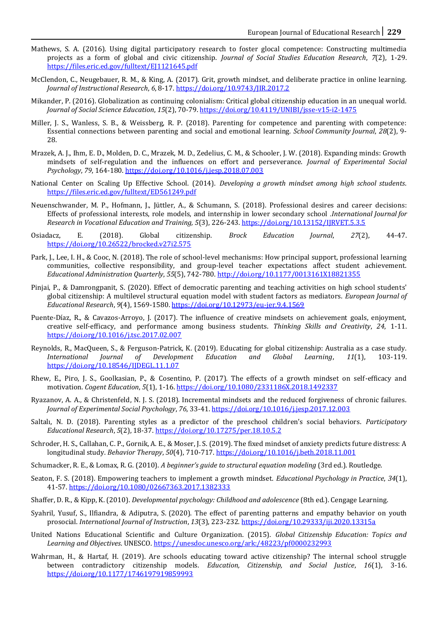- Mathews, S. A. (2016). Using digital participatory research to foster glocal competence: Constructing multimedia projects as a form of global and civic citizenship. *Journal of Social Studies Education Research*, *7*(2), 1-29. <https://files.eric.ed.gov/fulltext/EJ1121645.pdf>
- McClendon, C., Neugebauer, R. M., & King, A. (2017). Grit, growth mindset, and deliberate practice in online learning. *Journal of Instructional Research*, *6*, 8-17[. https://doi.org/10.9743/JIR.2017.2](https://doi.org/10.9743/JIR.2017.2)
- Mikander, P. (2016). Globalization as continuing colonialism: Critical global citizenship education in an unequal world. *Journal of Social Science Education*, *15*(2), 70-79. <https://doi.org/10.4119/UNIBI/jsse-v15-i2-1475>
- Miller, J. S., Wanless, S. B., & Weissberg, R. P. (2018). Parenting for competence and parenting with competence: Essential connections between parenting and social and emotional learning. *School Community Journal*, *28*(2), 9- 28.
- Mrazek, A. J., Ihm, E. D., Molden, D. C., Mrazek, M. D., Zedelius, C. M., & Schooler, J. W. (2018). Expanding minds: Growth mindsets of self-regulation and the influences on effort and perseverance. *Journal of Experimental Social Psychology*, *79*, 164-180[. https://doi.org/10.1016/j.jesp.2018.07.003](https://doi.org/10.1016/j.jesp.2018.07.003)
- National Center on Scaling Up Effective School. (2014). *Developing a growth mindset among high school students*. <https://files.eric.ed.gov/fulltext/ED561249.pdf>
- Neuenschwander, M. P., Hofmann, J., Jüttler, A., & Schumann, S. (2018). Professional desires and career decisions: Effects of professional interests, role models, and internship in lower secondary school .*International Journal for Research in Vocational Education and Training, 5*(3), 226-243[. https://doi.org/10.13152/IJRVET.5.3.5](https://doi.org/10.13152/IJRVET.5.3.5)
- Osiadacz, E. (2018). Global citizenship. *Brock Education Journal*, *27*(2), 44-47. <https://doi.org/10.26522/brocked.v27i2.575>
- Park, J., Lee, I. H., & Cooc, N. (2018). The role of school-level mechanisms: How principal support, professional learning communities, collective responsibility, and group-level teacher expectations affect student achievement. *Educational Administration Quarterly*, *55*(5), 742-780[. http://doi.org/10.1177/0013161X18821355](http://doi.org/10.1177/0013161X18821355)
- Pinjai, P., & Damrongpanit, S. (2020). Effect of democratic parenting and teaching activities on high school students' global citizenship: A multilevel structural equation model with student factors as mediators. *European Journal of Educational Research*, *9*(4), 1569-1580[. https://doi.org/10.12973/eu-jer.9.4.1569](https://doi.org/10.12973/eu-jer.9.4.1569)
- Puente-Díaz, R., & Cavazos-Arroyo, J. (2017). The influence of creative mindsets on achievement goals, enjoyment, creative self-efficacy, and performance among business students. *Thinking Skills and Creativity*, *24*, 1-11. <https://doi.org/10.1016/j.tsc.2017.02.007>
- Reynolds, R., MacQueen, S., & Ferguson-Patrick, K. (2019). Educating for global citizenship: Australia as a case study. *International Journal of Development Education and Global Learning*, *11*(1), 103-119. <https://doi.org/10.18546/IJDEGL.11.1.07>
- Rhew, E., Piro, J. S., Goolkasian, P., & Cosentino, P. (2017). The effects of a growth mindset on self-efficacy and motivation. *Cogent Education*, *5*(1), 1-16[. https://doi.org/10.1080/2331186X.2018.1492337](https://doi.org/10.1080/2331186X.2018.1492337)
- Ryazanov, A. A., & Christenfeld, N. J. S. (2018). Incremental mindsets and the reduced forgiveness of chronic failures. *Journal of Experimental Social Psychology*, *76*, 33-41[. https://doi.org/10.1016/j.jesp.2017.12.003](https://doi.org/10.1016/j.jesp.2017.12.003)
- Saltalı, N. D. (2018). Parenting styles as a predictor of the preschool children's social behaviors. *Participatory Educational Research*, *5*(2), 18-37[. https://doi.org/10.17275/per.18.10.5.2](https://doi.org/10.17275/per.18.10.5.2)
- Schroder, H. S., Callahan, C. P., Gornik, A. E., & Moser, J. S. (2019). The fixed mindset of anxiety predicts future distress: A longitudinal study. *Behavior Therapy*, *50*(4), 710-717[. https://doi.org/10.1016/j.beth.2018.11.001](https://doi.org/10.1016/j.beth.2018.11.001)
- Schumacker, R. E., & Lomax, R. G. (2010). *A beginner's guide to structural equation modeling* (3rd ed.). Routledge.
- Seaton, F. S. (2018). Empowering teachers to implement a growth mindset. *Educational Psychology in Practice*, *34*(1), 41-57[. https://doi.org/10.1080/02667363.2017.1382333](https://doi.org/10.1080/02667363.2017.1382333)
- Shaffer, D. R., & Kipp, K. (2010). *Developmental psychology: Childhood and adolescence* (8th ed.). Cengage Learning.
- Syahril, Yusuf, S., Ilfiandra, & Adiputra, S. (2020). The effect of parenting patterns and empathy behavior on youth prosocial. *International Journal of Instruction*, *13*(3), 223-232.<https://doi.org/10.29333/iji.2020.13315a>
- United Nations Educational Scientific and Culture Organization. (2015). *Global Citizenship Education: Topics and Learning and Objectives*. UNESCO[. https://unesdoc.unesco.org/ark:/48223/pf0000232993](https://unesdoc.unesco.org/ark:/48223/pf0000232993)
- Wahrman, H., & Hartaf, H. (2019). Are schools educating toward active citizenship? The internal school struggle between contradictory citizenship models. *Education, Citizenship, and Social Justice*, *16*(1), 3-16. <https://doi.org/10.1177/1746197919859993>